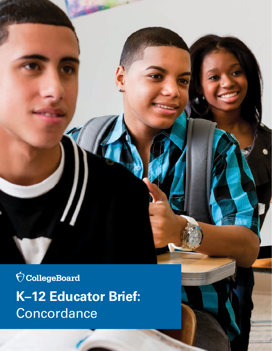$\bigcirc$  CollegeBoard **K–12 Educator Brief:** 

 $\prime$ 

**Concordance**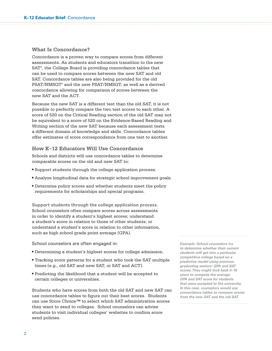#### **What Is Concordance?**

Concordance is a proven way to compare scores from different assessments. As students and educators transition to the new SAT® , the College Board is providing concordance tables that can be used to compare scores between the new SAT and old SAT. Concordance tables are also being provided for the old PSAT/NMSQT® and the new PSAT/NMSQT, as well as a derived concordance allowing for comparison of scores between the new SAT and the ACT.

Because the new SAT is a different test than the old SAT, it is not possible to perfectly compare the two test scores to each other. A score of 520 on the Critical Reading section of the old SAT may not be equivalent to a score of 520 on the Evidence-Based Reading and Writing section of the new SAT because each assessment tests a different domain of knowledge and skills. Concordance tables offer estimates of score correspondence from one test to another.

#### **How K–12 Educators Will Use Concordance**

Schools and districts will use concordance tables to determine comparable scores on the old and new SAT to:

- **•** Support students through the college application process.
- **•** Analyze longitudinal data for strategic school improvement goals.
- **•** Determine policy scores and whether students meet the policy requirements for scholarships and special programs.

**Support students through the college application process.**  School counselors often compare scores across assessments in order to identify a student's highest scores; understand a student's score in relation to those of other students; or understand a student's score in relation to other information, such as high school grade point average (GPA).

School counselors are often engaged in:

- **•** Determining a student's highest scores for college admission.
- **•** Tracking score patterns for a student who took the SAT multiple times (e.g., old SAT and new SAT, or SAT and ACT).
- **•** Predicting the likelihood that a student will be accepted to certain colleges or universities.

Students who have scores from both the old SAT and new SAT can use concordance tables to figure out their best scores. Students can use Score Choice™ to select which SAT administration scores they want to send to colleges. School counselors can advise students to visit individual colleges' websites to confirm score send policies.

that were accepted to the university. *Example: School counselors try to determine whether their current students will get into a particular competitive college based on a predictive model using previous graduating seniors' GPA and SAT scores.They might look back 5–10 years to compute the average GPA and SAT score for students*  In this case, counselors would use *concordance tables to compare scores from the new SAT and the old SAT.*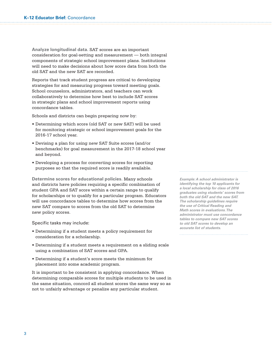**Analyze longitudinal data.** SAT scores are an important consideration for goal-setting and measurement — both integral components of strategic school improvement plans. Institutions will need to make decisions about how score data from both the old SAT and the new SAT are recorded.

Reports that track student progress are critical to developing strategies for and measuring progress toward meeting goals. School counselors, administrators, and teachers can work collaboratively to determine how best to include SAT scores in strategic plans and school improvement reports using concordance tables.

Schools and districts can begin preparing now by:

- Determining which score (old SAT or new SAT) will be used for monitoring strategic or school improvement goals for the 2016-17 school year.
- Devising a plan for using new SAT Suite scores (and/or benchmarks) for goal measurement in the 2017-18 school year and beyond.
- Developing a process for converting scores for reporting purposes so that the required score is readily available.

**Determine scores for educational policies.** Many schools and districts have policies requiring a specific combination of student GPA and SAT score within a certain range to qualify for scholarships or to qualify for a particular program. Educators will use concordance tables to determine how scores from the new SAT compare to scores from the old SAT to determine new policy scores.

Specific tasks may include:

- Determining if a student meets a policy requirement for consideration for a scholarship.
- Determining if a student meets a requirement on a sliding scale using a combination of SAT scores and GPA.
- Determining if a student's score meets the minimum for placement into some academic program.

It is important to be consistent in applying concordance. When determining comparable scores for multiple students to be used in the same situation, concord all student scores the same way so as not to unfairly advantage or penalize any particular student.

both the old SAT and the new SAT. *Example: A school administrator is identifying the top 10 applicants for a local scholarship for class of 2016 graduates using students' scores from both the old SAT and the new SAT. The scholarship guidelines require the use of Critical Reading and Math scores in evaluations.The administrator must use concordance tables to compare new SAT scores to old SAT scores to develop an accurate list of students.*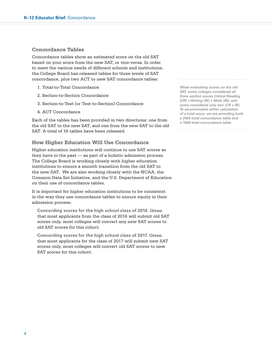#### **Concordance Tables**

Concordance tables show an estimated score on the old SAT based on your score from the new SAT, or vice-versa. In order to meet the various needs of different schools and institutions, the College Board has released tables for three levels of SAT concordance, plus two ACT to new SAT concordance tables:

- 1. Total-to-Total Concordance
- 2. Section-to-Section Concordance
- 3. Section-to-Test (or Test-to-Section) Concordance
- 4. ACT Concordance

Each of the tables has been provided in two directions: one from the old SAT to the new SAT, and one from the new SAT to the old SAT. A total of 16 tables have been released.

#### **How Higher Education Will Use Concordance**

Higher education institutions will continue to use SAT scores as they have in the past — as part of a holistic admission process. The College Board is working closely with higher education institutions to ensure a smooth transition from the old SAT to the new SAT. We are also working closely with the NCAA, the Common Data Set Initiative, and the U.S. Department of Education on their use of concordance tables.

It is important for higher education institutions to be consistent in the way they use concordance tables to ensure equity in their admission process.

**Concording scores for the high school class of 2016.** Given that most applicants from the class of 2016 will submit old SAT scores only, most colleges will convert any new SAT scores to old SAT scores for this cohort.

**Concording scores for the high school class of 2017.** Given that most applicants for the class of 2017 will submit new SAT scores only, most colleges will convert old SAT scores to new SAT scores for this cohort.

*When evaluating scores on the old SAT, some colleges considered all three section scores Critical Reading (CR) + Writing (W) + Math (M), and some considered only two (CR + M). To accommodate either calculation of a total score, we are providing both a 2400 total concordance table and a 1600 total concordance table.*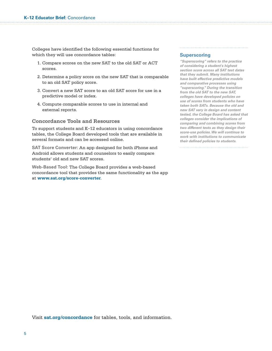Colleges have identified the following essential functions for which they will use concordance tables:

- 1. Compare scores on the new SAT to the old SAT or ACT scores.
- 2. Determine a policy score on the new SAT that is comparable to an old SAT policy score.
- 3. Convert a new SAT score to an old SAT score for use in a predictive model or index.
- 4. Compute comparable scores to use in internal and external reports.

#### **Concordance Tools and Resources**

To support students and K–12 educators in using concordance tables, the College Board developed tools that are available in several formats and can be accessed online.

**SAT Score Converter:** An app designed for both iPhone and Android allows students and counselors to easily compare students' old and new SAT scores.

**Web-Based Tool:** The College Board provides a web-based concordance tool that provides the same functionality as the app at **[www.sat.org/score-converter](http://www.sat.org/score-converter)**.

#### **Superscoring**

*"Superscoring" refers to the practice of considering a student's highest section score across all SAT test dates that they submit. Many institutions have built effective predictive models and comparative processes using "superscoring." During the transition from the old SAT to the new SAT, colleges have developed policies on use of scores from students who have taken both SATs. Because the old and new SAT vary in design and content tested, the College Board has asked that colleges consider the implications of comparing and combining scores from two different tests as they design their score-use policies.We will continue to work with institutions to communicate their defined policies to students.* 

Visit **[sat.org/concordance](http://sat.org/concordance)** for tables, tools, and information.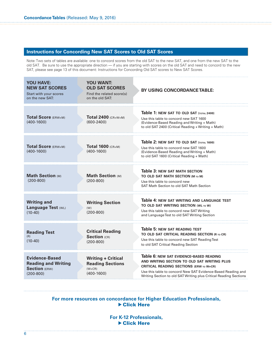# **Instructions for Concording New SAT Scores to Old SAT Scores**

Note: Two sets of tables are available: one to concord scores from the old SAT to the new SAT, and one from the new SAT to the old SAT. Be sure to use the appropriate direction — if you are starting with scores on the old SAT and need to concord to the new SAT, please see page 13 of this document: Instructions for Concording Old SAT scores to New SAT Scores.

| <b>YOU HAVE:</b><br><b>NEW SAT SCORES</b><br>Start with your scores<br>on the new SAT:       | <b>YOU WANT:</b><br><b>OLD SAT SCORES</b><br>Find the related score(s)<br>on the old SAT: | BY USING CONCORDANCE TABLE:                                                                                                                                                                                                                                                   |
|----------------------------------------------------------------------------------------------|-------------------------------------------------------------------------------------------|-------------------------------------------------------------------------------------------------------------------------------------------------------------------------------------------------------------------------------------------------------------------------------|
| <b>Total Score (ERW+M)</b><br>$(400 - 1600)$                                                 | Total 2400 (CR+W+M)<br>$(600 - 2400)$                                                     | Table 1: NEW SAT TO OLD SAT (TOTAL 2400)<br>Use this table to concord new SAT 1600<br>(Evidence-Based Reading and Writing + Math)<br>to old SAT 2400 (Critical Reading + Writing + Math)                                                                                      |
| <b>Total Score (ERW+M)</b><br>$(400-1600)$                                                   | Total $1600$ (CR+M)<br>$(400-1600)$                                                       | Table 2: NEW SAT TO OLD SAT (TOTAL 1600)<br>Use this table to concord new SAT 1600<br>(Evidence-Based Reading and Writing + Math)<br>to old SAT 1600 (Critical Reading + Math)                                                                                                |
| <b>Math Section (M)</b><br>$(200 - 800)$                                                     | <b>Math Section (M)</b><br>$(200 - 800)$                                                  | Table 3: NEW SAT MATH SECTION<br>TO OLD SAT MATH SECTION (M TO M)<br>Use this table to concord new<br><b>SAT Math Section to old SAT Math Section</b>                                                                                                                         |
| <b>Writing and</b><br>Language Test (WL)<br>$(10-40)$                                        | <b>Writing Section</b><br>(W)<br>$(200-800)$                                              | Table 4: NEW SAT WRITING AND LANGUAGE TEST<br>TO OLD SAT WRITING SECTION (WL TO W)<br>Use this table to concord new SAT Writing<br>and Language Test to old SAT Writing Section                                                                                               |
| <b>Reading Test</b><br>(R)<br>$(10-40)$                                                      | <b>Critical Reading</b><br><b>Section (CR)</b><br>$(200 - 800)$                           | Table 5: NEW SAT READING TEST<br>TO OLD SAT CRITICAL READING SECTION (R TO CR)<br>Use this table to concord new SAT Reading Test<br>to old SAT Critical Reading Section                                                                                                       |
| <b>Evidence-Based</b><br><b>Reading and Writing</b><br><b>Section (ERW)</b><br>$(200 - 800)$ | <b>Writing + Critical</b><br><b>Reading Sections</b><br>$(W + CR)$<br>$(400-1600)$        | Table 6: NEW SAT EVIDENCE-BASED READING<br>AND WRITING SECTION TO OLD SAT WRITING PLUS<br><b>CRITICAL READING SECTIONS (ERW TO W+CR)</b><br>Use this table to concord New SAT Evidence-Based Reading and<br>Writing Section to old SAT Writing plus Critical Reading Sections |

#### **[For more resources on concordance for Higher Education Professionals,](https://collegereadiness.collegeboard.org/educators/higher-ed)**  ▶ [Click Here](https://collegereadiness.collegeboard.org/educators/higher-ed)

**[For K-12 Professionals,](https://collegereadiness.collegeboard.org/educators/k-12)**  ▶ [Click Here](https://collegereadiness.collegeboard.org/educators/k-12)

. . . . . . . . . . . . . .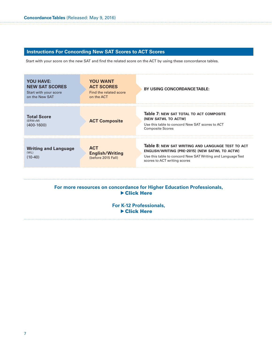#### **Instructions For Concording New SAT Scores to ACT Scores**

Start with your score on the new SAT and find the related score on the ACT by using these concordance tables.



**[For K-12 Professionals,](https://collegereadiness.collegeboard.org/educators/k-12)**  ▶ Click Here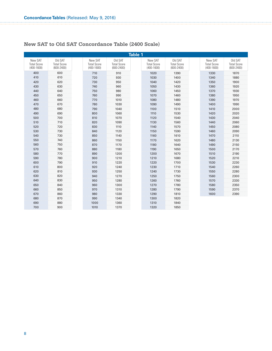|                                                 | <b>Table 1</b>                                  |                                                 |                                                 |                                                 |                                                 |                                                 |                                                 |  |  |  |  |  |
|-------------------------------------------------|-------------------------------------------------|-------------------------------------------------|-------------------------------------------------|-------------------------------------------------|-------------------------------------------------|-------------------------------------------------|-------------------------------------------------|--|--|--|--|--|
| New SAT<br><b>Total Score</b><br>$(400 - 1600)$ | Old SAT<br><b>Total Score</b><br>$(600 - 2400)$ | New SAT<br><b>Total Score</b><br>$(400 - 1600)$ | Old SAT<br><b>Total Score</b><br>$(600 - 2400)$ | New SAT<br><b>Total Score</b><br>$(400 - 1600)$ | Old SAT<br><b>Total Score</b><br>$(600 - 2400)$ | New SAT<br><b>Total Score</b><br>$(400 - 1600)$ | Old SAT<br><b>Total Score</b><br>$(600 - 2400)$ |  |  |  |  |  |
| 400                                             | 600                                             | 710                                             | 910                                             | 1020                                            | 1390                                            | 1330                                            | 1870                                            |  |  |  |  |  |
| 410                                             | 610                                             | 720                                             | 930                                             | 1030                                            | 1400                                            | 1340                                            | 1880                                            |  |  |  |  |  |
| 420                                             | 620                                             | 730                                             | 950                                             | 1040                                            | 1420                                            | 1350                                            | 1900                                            |  |  |  |  |  |
| 430                                             | 630                                             | 740                                             | 960                                             | 1050                                            | 1430                                            | 1360                                            | 1920                                            |  |  |  |  |  |
| 440                                             | 640                                             | 750                                             | 980                                             | 1060                                            | 1450                                            | 1370                                            | 1930                                            |  |  |  |  |  |
| 450                                             | 650                                             | 760                                             | 990                                             | 1070                                            | 1460                                            | 1380                                            | 1950                                            |  |  |  |  |  |
| 460                                             | 660                                             | 770                                             | 1010                                            | 1080                                            | 1480                                            | 1390                                            | 1970                                            |  |  |  |  |  |
| 470                                             | 670                                             | 780                                             | 1030                                            | 1090                                            | 1490                                            | 1400                                            | 1990                                            |  |  |  |  |  |
| 480                                             | 680                                             | 790                                             | 1040                                            | 1100                                            | 1510                                            | 1410                                            | 2000                                            |  |  |  |  |  |
| 490                                             | 690                                             | 800                                             | 1060                                            | 1110                                            | 1530                                            | 1420                                            | 2020                                            |  |  |  |  |  |
| 500                                             | 700                                             | 810                                             | 1070                                            | 1120                                            | 1540                                            | 1430                                            | 2040                                            |  |  |  |  |  |
| 510                                             | 710                                             | 820                                             | 1090                                            | 1130                                            | 1560                                            | 1440                                            | 2060                                            |  |  |  |  |  |
| 520                                             | 720                                             | 830                                             | 1110                                            | 1140                                            | 1570                                            | 1450                                            | 2080                                            |  |  |  |  |  |
| 530                                             | 730                                             | 840                                             | 1120                                            | 1150                                            | 1590                                            | 1460                                            | 2090                                            |  |  |  |  |  |
| 540                                             | 730                                             | 850                                             | 1140                                            | 1160                                            | 1610                                            | 1470                                            | 2110                                            |  |  |  |  |  |
| 550                                             | 740                                             | 860                                             | 1150                                            | 1170                                            | 1620                                            | 1480                                            | 2130                                            |  |  |  |  |  |
| 560                                             | 750                                             | 870                                             | 1170                                            | 1180                                            | 1640                                            | 1490                                            | 2150                                            |  |  |  |  |  |
| 570                                             | 760                                             | 880                                             | 1180                                            | 1190                                            | 1650                                            | 1500                                            | 2170                                            |  |  |  |  |  |
| 580                                             | 770                                             | 890                                             | 1200                                            | 1200                                            | 1670                                            | 1510                                            | 2190                                            |  |  |  |  |  |
| 590                                             | 780                                             | 900                                             | 1210                                            | 1210                                            | 1680                                            | 1520                                            | 2210                                            |  |  |  |  |  |
| 600                                             | 790                                             | 910                                             | 1220                                            | 1220                                            | 1700                                            | 1530                                            | 2230                                            |  |  |  |  |  |
| 610                                             | 800                                             | 920                                             | 1240                                            | 1230                                            | 1710                                            | 1540                                            | 2260                                            |  |  |  |  |  |
| 620                                             | 810                                             | 930                                             | 1250                                            | 1240                                            | 1730                                            | 1550                                            | 2280                                            |  |  |  |  |  |
| 630                                             | 820                                             | 940                                             | 1270                                            | 1250                                            | 1750                                            | 1560                                            | 2300                                            |  |  |  |  |  |
| 640                                             | 830                                             | 950                                             | 1280                                            | 1260                                            | 1760                                            | 1570                                            | 2330                                            |  |  |  |  |  |
| 650                                             | 840                                             | 960                                             | 1300                                            | 1270                                            | 1780                                            | 1580                                            | 2350                                            |  |  |  |  |  |
| 660                                             | 850                                             | 970                                             | 1310                                            | 1280                                            | 1790                                            | 1590                                            | 2370                                            |  |  |  |  |  |
| 670                                             | 860                                             | 980                                             | 1330                                            | 1290                                            | 1810                                            | 1600                                            | 2390                                            |  |  |  |  |  |
| 680                                             | 870                                             | 990                                             | 1340                                            | 1300                                            | 1820                                            |                                                 |                                                 |  |  |  |  |  |
| 690                                             | 880                                             | 1000                                            | 1360                                            | 1310                                            | 1840                                            |                                                 |                                                 |  |  |  |  |  |
| 700                                             | 900                                             | 1010                                            | 1370                                            | 1320                                            | 1850                                            |                                                 |                                                 |  |  |  |  |  |

# **New SAT to Old SAT Concordance Table (2400 Scale)**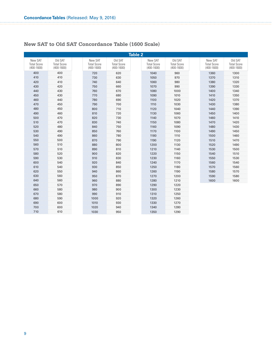|                                                 | <b>Table 2</b>                                  |                                                 |                                                 |                                                 |                                                 |                                                 |                                                 |  |  |  |  |  |
|-------------------------------------------------|-------------------------------------------------|-------------------------------------------------|-------------------------------------------------|-------------------------------------------------|-------------------------------------------------|-------------------------------------------------|-------------------------------------------------|--|--|--|--|--|
| New SAT<br><b>Total Score</b><br>$(400 - 1600)$ | Old SAT<br><b>Total Score</b><br>$(400 - 1600)$ | New SAT<br><b>Total Score</b><br>$(400 - 1600)$ | Old SAT<br><b>Total Score</b><br>$(400 - 1600)$ | New SAT<br><b>Total Score</b><br>$(400 - 1600)$ | Old SAT<br><b>Total Score</b><br>$(400 - 1600)$ | New SAT<br><b>Total Score</b><br>$(400 - 1600)$ | Old SAT<br><b>Total Score</b><br>$(400 - 1600)$ |  |  |  |  |  |
| 400                                             | 400                                             | 720                                             | 620                                             | 1040                                            | 960                                             | 1360                                            | 1300                                            |  |  |  |  |  |
| 410                                             | 410                                             | 730                                             | 630                                             | 1050                                            | 970                                             | 1370                                            | 1310                                            |  |  |  |  |  |
| 420                                             | 410                                             | 740                                             | 640                                             | 1060                                            | 980                                             | 1380                                            | 1320                                            |  |  |  |  |  |
| 430                                             | 420                                             | 750                                             | 660                                             | 1070                                            | 990                                             | 1390                                            | 1330                                            |  |  |  |  |  |
| 440                                             | 430                                             | 760                                             | 670                                             | 1080                                            | 1000                                            | 1400                                            | 1340                                            |  |  |  |  |  |
| 450                                             | 430                                             | 770                                             | 680                                             | 1090                                            | 1010                                            | 1410                                            | 1350                                            |  |  |  |  |  |
| 460                                             | 440                                             | 780                                             | 690                                             | 1100                                            | 1020                                            | 1420                                            | 1370                                            |  |  |  |  |  |
| 470                                             | 450                                             | 790                                             | 700                                             | 1110                                            | 1030                                            | 1430                                            | 1380                                            |  |  |  |  |  |
| 480                                             | 450                                             | 800                                             | 710                                             | 1120                                            | 1040                                            | 1440                                            | 1390                                            |  |  |  |  |  |
| 490                                             | 460                                             | 810                                             | 720                                             | 1130                                            | 1060                                            | 1450                                            | 1400                                            |  |  |  |  |  |
| 500                                             | 470                                             | 820                                             | 730                                             | 1140                                            | 1070                                            | 1460                                            | 1410                                            |  |  |  |  |  |
| 510                                             | 470                                             | 830                                             | 740                                             | 1150                                            | 1080                                            | 1470                                            | 1420                                            |  |  |  |  |  |
| 520                                             | 480                                             | 840                                             | 750                                             | 1160                                            | 1090                                            | 1480                                            | 1430                                            |  |  |  |  |  |
| 530                                             | 490                                             | 850                                             | 760                                             | 1170                                            | 1100                                            | 1490                                            | 1450                                            |  |  |  |  |  |
| 540                                             | 490                                             | 860                                             | 780                                             | 1180                                            | 1110                                            | 1500                                            | 1460                                            |  |  |  |  |  |
| 550                                             | 500                                             | 870                                             | 790                                             | 1190                                            | 1120                                            | 1510                                            | 1470                                            |  |  |  |  |  |
| 560                                             | 510                                             | 880                                             | 800                                             | 1200                                            | 1130                                            | 1520                                            | 1490                                            |  |  |  |  |  |
| 570                                             | 510                                             | 890                                             | 810                                             | 1210                                            | 1140                                            | 1530                                            | 1500                                            |  |  |  |  |  |
| 580                                             | 520                                             | 900                                             | 820                                             | 1220                                            | 1150                                            | 1540                                            | 1510                                            |  |  |  |  |  |
| 590                                             | 530                                             | 910                                             | 830                                             | 1230                                            | 1160                                            | 1550                                            | 1530                                            |  |  |  |  |  |
| 600                                             | 540                                             | 920                                             | 840                                             | 1240                                            | 1170                                            | 1560                                            | 1540                                            |  |  |  |  |  |
| 610                                             | 540                                             | 930                                             | 850                                             | 1250                                            | 1180                                            | 1570                                            | 1560                                            |  |  |  |  |  |
| 620                                             | 550                                             | 940                                             | 860                                             | 1260                                            | 1190                                            | 1580                                            | 1570                                            |  |  |  |  |  |
| 630                                             | 560                                             | 950                                             | 870                                             | 1270                                            | 1200                                            | 1590                                            | 1580                                            |  |  |  |  |  |
| 640                                             | 560                                             | 960                                             | 880                                             | 1280                                            | 1210                                            | 1600                                            | 1600                                            |  |  |  |  |  |
| 650                                             | 570                                             | 970                                             | 890                                             | 1290                                            | 1220                                            |                                                 |                                                 |  |  |  |  |  |
| 660                                             | 580                                             | 980                                             | 900                                             | 1300                                            | 1230                                            |                                                 |                                                 |  |  |  |  |  |
| 670                                             | 580                                             | 990                                             | 910                                             | 1310                                            | 1250                                            |                                                 |                                                 |  |  |  |  |  |
| 680                                             | 590                                             | 1000                                            | 920                                             | 1320                                            | 1260                                            |                                                 |                                                 |  |  |  |  |  |
| 690                                             | 600                                             | 1010                                            | 930                                             | 1330                                            | 1270                                            |                                                 |                                                 |  |  |  |  |  |
| 700                                             | 600                                             | 1020                                            | 940                                             | 1340                                            | 1280                                            |                                                 |                                                 |  |  |  |  |  |
| 710                                             | 610                                             | 1030                                            | 950                                             | 1350                                            | 1290                                            |                                                 |                                                 |  |  |  |  |  |

# **New SAT to Old SAT Concordance Table (1600 Scale)**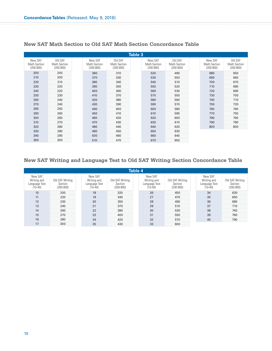|                                                 | Table 3                                         |                                                 |                                               |  |                                                 |                                                 |  |                                                 |                                                 |  |  |  |
|-------------------------------------------------|-------------------------------------------------|-------------------------------------------------|-----------------------------------------------|--|-------------------------------------------------|-------------------------------------------------|--|-------------------------------------------------|-------------------------------------------------|--|--|--|
| New SAT<br><b>Math Section</b><br>$(200 - 800)$ | Old SAT<br><b>Math Section</b><br>$(200 - 800)$ | New SAT<br><b>Math Section</b><br>$(200 - 800)$ | Old SAT<br><b>Math Section</b><br>$(200-800)$ |  | New SAT<br><b>Math Section</b><br>$(200 - 800)$ | Old SAT<br><b>Math Section</b><br>$(200 - 800)$ |  | New SAT<br><b>Math Section</b><br>$(200 - 800)$ | Old SAT<br><b>Math Section</b><br>$(200 - 800)$ |  |  |  |
| 200                                             | 200                                             | 360                                             | 310                                           |  | 520                                             | 490                                             |  | 680                                             | 650                                             |  |  |  |
| 210                                             | 200                                             | 370                                             | 330                                           |  | 530                                             | 500                                             |  | 690                                             | 660                                             |  |  |  |
| 220                                             | 210                                             | 380                                             | 340                                           |  | 540                                             | 510                                             |  | 700                                             | 670                                             |  |  |  |
| 230                                             | 220                                             | 390                                             | 350                                           |  | 550                                             | 520                                             |  | 710                                             | 680                                             |  |  |  |
| 240                                             | 220                                             | 400                                             | 360                                           |  | 560                                             | 530                                             |  | 720                                             | 690                                             |  |  |  |
| 250                                             | 230                                             | 410                                             | 370                                           |  | 570                                             | 550                                             |  | 730                                             | 700                                             |  |  |  |
| 260                                             | 240                                             | 420                                             | 380                                           |  | 580                                             | 560                                             |  | 740                                             | 710                                             |  |  |  |
| 270                                             | 240                                             | 430                                             | 390                                           |  | 590                                             | 570                                             |  | 750                                             | 720                                             |  |  |  |
| 280                                             | 250                                             | 440                                             | 400                                           |  | 600                                             | 580                                             |  | 760                                             | 740                                             |  |  |  |
| 290                                             | 260                                             | 450                                             | 410                                           |  | 610                                             | 590                                             |  | 770                                             | 750                                             |  |  |  |
| 300                                             | 260                                             | 460                                             | 420                                           |  | 620                                             | 600                                             |  | 780                                             | 760                                             |  |  |  |
| 310                                             | 270                                             | 470                                             | 430                                           |  | 630                                             | 610                                             |  | 790                                             | 780                                             |  |  |  |
| 320                                             | 280                                             | 480                                             | 440                                           |  | 640                                             | 620                                             |  | 800                                             | 800                                             |  |  |  |
| 330                                             | 280                                             | 490                                             | 450                                           |  | 650                                             | 630                                             |  |                                                 |                                                 |  |  |  |
| 340                                             | 290                                             | 500                                             | 460                                           |  | 660                                             | 640                                             |  |                                                 |                                                 |  |  |  |
| 350                                             | 300                                             | 510                                             | 470                                           |  | 670                                             | 650                                             |  |                                                 |                                                 |  |  |  |

#### **New SAT Math Section to Old SAT Math Section Concordance Table**

## **New SAT Writing and Language Test to Old SAT Writing Section Concordance Table**

| Table 4                                              |                             |                                         |                                         |                                                      |                                        |                                                    |                            |  |  |  |  |
|------------------------------------------------------|-----------------------------|-----------------------------------------|-----------------------------------------|------------------------------------------------------|----------------------------------------|----------------------------------------------------|----------------------------|--|--|--|--|
| New SAT<br>Writing and<br>Language Test<br>$(10-40)$ | Old SAT Writing<br>200-800) | New SAT<br>Writing and<br>Language Test | Old SAT Writing<br>Section<br>(200-800) | New SAT<br>Writing and<br>Language Test<br>$(11-40)$ | Old SAT Writing<br>Section<br>200-800) | New SAT<br>Writing and<br>Language Test<br>$10-40$ | Old SAT Writing<br>Section |  |  |  |  |
| 1 <sup>c</sup>                                       | 200                         |                                         | 320                                     |                                                      | 450                                    |                                                    | 630                        |  |  |  |  |
|                                                      | 220                         |                                         | 340                                     |                                                      | 470                                    |                                                    | 650                        |  |  |  |  |
|                                                      | 230                         | 20                                      | 350                                     |                                                      | 490<br>.                               |                                                    | 680                        |  |  |  |  |
|                                                      | 240                         |                                         | 370                                     |                                                      | 510<br>.                               |                                                    | 710                        |  |  |  |  |
|                                                      | 260                         | 22                                      | 380                                     |                                                      | 530                                    |                                                    | 740                        |  |  |  |  |
|                                                      | 270                         |                                         | 400                                     |                                                      | 550                                    |                                                    | 760                        |  |  |  |  |
|                                                      | 280                         |                                         |                                         |                                                      | 570                                    |                                                    | 790                        |  |  |  |  |
|                                                      | 30C                         |                                         |                                         |                                                      |                                        |                                                    |                            |  |  |  |  |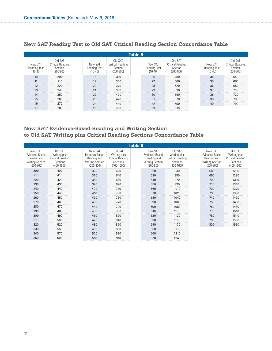|                                      | Table 5                                             |                                             |                                                         |                                      |                                                         |                                    |                                                         |  |  |  |  |  |
|--------------------------------------|-----------------------------------------------------|---------------------------------------------|---------------------------------------------------------|--------------------------------------|---------------------------------------------------------|------------------------------------|---------------------------------------------------------|--|--|--|--|--|
| New SAT<br>Reading Test<br>$(10-40)$ | Old SAT<br>Critical Reading<br>Section<br>(200-800) | New SAT<br><b>Reading Test</b><br>$(10-40)$ | Old SAT<br>Critical Reading<br>Section<br>$(200 - 800)$ | New SAT<br>Reading Test<br>$10 - 40$ | Old SAT<br>Critical Reading<br>Section<br>$(200 - 800)$ | New SAT<br>Reading Test<br>(10-40) | Old SAT<br>Critical Reading<br>Section<br>$(200 - 800)$ |  |  |  |  |  |
| 1 <sub>0</sub>                       | 200                                                 | 18                                          | 310                                                     | 26                                   | 480                                                     | 34                                 | 640                                                     |  |  |  |  |  |
|                                      | 210                                                 |                                             | 340                                                     |                                      | 500                                                     | 35                                 | 660                                                     |  |  |  |  |  |
|                                      | 220                                                 | 20                                          | 370                                                     | 28                                   | 520                                                     | 36                                 | 680                                                     |  |  |  |  |  |
|                                      | 240                                                 | -21                                         | 380                                                     | 29                                   | 530                                                     |                                    | 700                                                     |  |  |  |  |  |
|                                      | 250                                                 |                                             | 400                                                     |                                      | 550                                                     | 38                                 | 720                                                     |  |  |  |  |  |
|                                      | 260                                                 |                                             | $\Delta$ 20                                             |                                      | 570                                                     |                                    | 760                                                     |  |  |  |  |  |
|                                      | 270                                                 |                                             | 440                                                     |                                      | 590                                                     |                                    | 790                                                     |  |  |  |  |  |
|                                      | 280                                                 | 25                                          | 460                                                     | 33                                   | 610                                                     |                                    |                                                         |  |  |  |  |  |

## **New SAT Reading Test to Old SAT Critical Reading Section Concordance Table**

## **New SAT Evidence-Based Reading and Writing Section to Old SAT Writing plus Critical Reading Sections Concordance Table**

|                                                                                     | <b>Table 6</b>                                                            |                                                                                     |                                                                                  |  |                                                                              |                                                                           |  |                                                                                     |                                                                                  |  |  |
|-------------------------------------------------------------------------------------|---------------------------------------------------------------------------|-------------------------------------------------------------------------------------|----------------------------------------------------------------------------------|--|------------------------------------------------------------------------------|---------------------------------------------------------------------------|--|-------------------------------------------------------------------------------------|----------------------------------------------------------------------------------|--|--|
| New SAT<br>Evidence-Based<br>Reading and<br><b>Writing Section</b><br>$(200 - 800)$ | Old SAT<br>Writing plus<br>Critical Reading<br>Sections<br>$(400 - 1600)$ | New SAT<br>Evidence-Based<br>Reading and<br><b>Writing Section</b><br>$(200 - 800)$ | Old SAT<br>Writing plus<br><b>Critical Reading</b><br>Sections<br>$(400 - 1600)$ |  | New SAT<br>Evidence-Based<br>Reading and<br>Writing Section<br>$(200 - 800)$ | Old SAT<br>Writing plus<br>Critical Reading<br>Sections<br>$(400 - 1600)$ |  | New SAT<br>Evidence-Based<br>Reading and<br><b>Writing Section</b><br>$(200 - 800)$ | Old SAT<br>Writing plus<br><b>Critical Reading</b><br>Sections<br>$(400 - 1600)$ |  |  |
| 200                                                                                 | 400                                                                       | 360                                                                                 | 620                                                                              |  | 520                                                                          | 930                                                                       |  | 680                                                                                 | 1260                                                                             |  |  |
| 210                                                                                 | 410                                                                       | 370                                                                                 | 640                                                                              |  | 530                                                                          | 950                                                                       |  | 690                                                                                 | 1290                                                                             |  |  |
| 220                                                                                 | 420                                                                       | 380                                                                                 | 660                                                                              |  | 540                                                                          | 970                                                                       |  | 700                                                                                 | 1310                                                                             |  |  |
| 230                                                                                 | 430                                                                       | 390                                                                                 | 690                                                                              |  | 550                                                                          | 990                                                                       |  | 710                                                                                 | 1340                                                                             |  |  |
| 240                                                                                 | 440                                                                       | 400                                                                                 | 710                                                                              |  | 560                                                                          | 1010                                                                      |  | 720                                                                                 | 1370                                                                             |  |  |
| 250                                                                                 | 440                                                                       | 410                                                                                 | 730                                                                              |  | 570                                                                          | 1020                                                                      |  | 730                                                                                 | 1390                                                                             |  |  |
| 260                                                                                 | 450                                                                       | 420                                                                                 | 750                                                                              |  | 580                                                                          | 1040                                                                      |  | 740                                                                                 | 1420                                                                             |  |  |
| 270                                                                                 | 460                                                                       | 430                                                                                 | 770                                                                              |  | 590                                                                          | 1060                                                                      |  | 750                                                                                 | 1450                                                                             |  |  |
| 280                                                                                 | 470                                                                       | 440                                                                                 | 790                                                                              |  | 600                                                                          | 1080                                                                      |  | 760                                                                                 | 1480                                                                             |  |  |
| 290                                                                                 | 480                                                                       | 450                                                                                 | 800                                                                              |  | 610                                                                          | 1100                                                                      |  | 770                                                                                 | 1510                                                                             |  |  |
| 300                                                                                 | 490                                                                       | 460                                                                                 | 820                                                                              |  | 620                                                                          | 1120                                                                      |  | 780                                                                                 | 1540                                                                             |  |  |
| 310                                                                                 | 500                                                                       | 470                                                                                 | 840                                                                              |  | 630                                                                          | 1150                                                                      |  | 790                                                                                 | 1560                                                                             |  |  |
| 320                                                                                 | 520                                                                       | 480                                                                                 | 860                                                                              |  | 640                                                                          | 1170                                                                      |  | 800                                                                                 | 1590                                                                             |  |  |
| 330                                                                                 | 550                                                                       | 490                                                                                 | 880                                                                              |  | 650                                                                          | 1190                                                                      |  |                                                                                     |                                                                                  |  |  |
| 340                                                                                 | 570                                                                       | 500                                                                                 | 890                                                                              |  | 660                                                                          | 1210                                                                      |  |                                                                                     |                                                                                  |  |  |
| 350                                                                                 | 600                                                                       | 510                                                                                 | 910                                                                              |  | 670                                                                          | 1240                                                                      |  |                                                                                     |                                                                                  |  |  |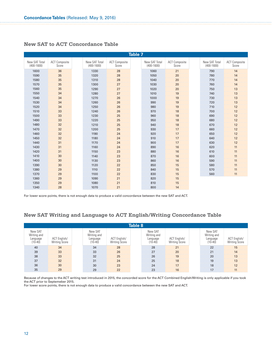| <b>Table 7</b>                |                               |  |                                 |                               |  |                               |                               |  |                               |                               |  |
|-------------------------------|-------------------------------|--|---------------------------------|-------------------------------|--|-------------------------------|-------------------------------|--|-------------------------------|-------------------------------|--|
| New SAT Total<br>$(400-1600)$ | <b>ACT Composite</b><br>Score |  | New SAT Total<br>$(400 - 1600)$ | <b>ACT Composite</b><br>Score |  | New SAT Total<br>$(400-1600)$ | <b>ACT Composite</b><br>Score |  | New SAT Total<br>$(400-1600)$ | <b>ACT Composite</b><br>Score |  |
| 1600                          | 36                            |  | 1330                            | 28                            |  | 1060                          | 21                            |  | 790                           | 14                            |  |
| 1590                          | 35                            |  | 1320                            | 28                            |  | 1050                          | 20                            |  | 780                           | 14                            |  |
| 1580                          | 35                            |  | 1310                            | 28                            |  | 1040                          | 20                            |  | 770                           | 14                            |  |
| 1570                          | 35                            |  | 1300                            | 27                            |  | 1030                          | 20                            |  | 760                           | 14                            |  |
| 1560                          | 35                            |  | 1290                            | 27                            |  | 1020                          | 20                            |  | 750                           | 13                            |  |
| 1550                          | 34                            |  | 1280                            | 27                            |  | 1010                          | 19                            |  | 740                           | 13                            |  |
| 1540                          | 34                            |  | 1270                            | 26                            |  | 1000                          | 19                            |  | 730                           | 13                            |  |
| 1530                          | 34                            |  | 1260                            | 26                            |  | 990                           | 19                            |  | 720                           | 13                            |  |
| 1520                          | 34                            |  | 1250                            | 26                            |  | 980                           | 19                            |  | 710                           | 12                            |  |
| 1510                          | 33                            |  | 1240                            | 26                            |  | 970                           | 18                            |  | 700                           |                               |  |
| 1500                          | 33                            |  | 1230                            | 25                            |  | 960                           | 18                            |  | 690                           | 12                            |  |
| 1490                          | 33                            |  | 1220                            | 25                            |  | 950                           | 18                            |  | 680                           | 12                            |  |
| 1480                          | 32                            |  | 1210                            | 25                            |  | 940                           | 18                            |  | 670                           | 12                            |  |
| 1470                          | 32                            |  | 1200                            | 25                            |  | 930                           | 17                            |  | 660                           | 12                            |  |
| 1460                          | 32                            |  | 1190                            | 24                            |  | 920                           |                               |  | 650                           | 12                            |  |
| 1450                          | 32                            |  | 1180                            | 24                            |  | 910                           |                               |  | 640                           | 12                            |  |
| 1440                          | 31                            |  | 1170                            | 24                            |  | 900                           | 17                            |  | 630                           | 12                            |  |
| 1430                          | 31                            |  | 1160                            | 24                            |  | 890                           | 16                            |  | 620                           |                               |  |
| 1420                          | 31                            |  | 1150                            | 23                            |  | 880                           | 16                            |  | 610                           | 11                            |  |
| 1410                          | 30                            |  | 1140                            | 23                            |  | 870                           | 16                            |  | 600                           |                               |  |
| 1400                          | 30                            |  | 1130                            | 23                            |  | 860                           | 16                            |  | 590                           |                               |  |
| 1390                          | 30                            |  | 1120                            | 22                            |  | 850                           | 15                            |  | 580                           |                               |  |
| 1380                          | 29                            |  | 1110                            | 22                            |  | 840                           | 15                            |  | 570                           |                               |  |
| 1370                          | 29                            |  | 1100                            | 22                            |  | 830                           | 15                            |  | 560                           | 11                            |  |
| 1360                          | 29                            |  | 1090                            | 21                            |  | 820                           | 15                            |  |                               |                               |  |
| 1350                          | 29                            |  | 1080                            | 21                            |  | 810                           | 15                            |  |                               |                               |  |
| 1340                          | 28                            |  | 1070                            | 21                            |  | 800                           | 14                            |  |                               |                               |  |

#### **New SAT to ACT Concordance Table**

For lower score points, there is not enough data to produce a valid concordance between the new SAT and ACT.

## **New SAT Writing and Language to ACT English/Writing Concordance Table**

| Table 8                |  |                        |  |                        |  |                                    |  |  |  |  |
|------------------------|--|------------------------|--|------------------------|--|------------------------------------|--|--|--|--|
| New SAT<br>Writing and |  | New SAT<br>Writing and |  | New SAT<br>Writing and |  | New SAT<br>Writing and<br>Language |  |  |  |  |
|                        |  |                        |  |                        |  |                                    |  |  |  |  |
|                        |  |                        |  |                        |  |                                    |  |  |  |  |
|                        |  |                        |  |                        |  |                                    |  |  |  |  |
|                        |  |                        |  |                        |  |                                    |  |  |  |  |
|                        |  |                        |  |                        |  |                                    |  |  |  |  |
|                        |  |                        |  |                        |  |                                    |  |  |  |  |

Because of changes to the ACT writing test introduced in 2015, the concorded score for the ACT Combined English/Writing is only applicable if you took the ACT prior to Septemeber 2015.

For lower score points, there is not enough data to produce a valid concordance between the new SAT and ACT.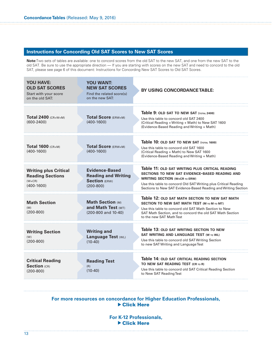# **Instructions for Concording Old SAT Scores to New SAT Scores**

**Note:**Two sets of tables are available: one to concord scores from the old SAT to the new SAT, and one from the new SAT to the old SAT. Be sure to use the appropriate direction — If you are starting with scores on the new SAT and need to concord to the old SAT, please see page 6 of this document: Instructions for Concording New SAT Scores to Old SAT Scores.

| <b>YOU HAVE:</b><br><b>OLD SAT SCORES</b><br>Start with your score<br>on the old SAT: | <b>YOU WANT:</b><br><b>NEW SAT SCORES</b><br>Find the related score(s)<br>on the new SAT: | BY USING CONCORDANCE TABLE:                                                                                                                                                                                                                                                    |
|---------------------------------------------------------------------------------------|-------------------------------------------------------------------------------------------|--------------------------------------------------------------------------------------------------------------------------------------------------------------------------------------------------------------------------------------------------------------------------------|
| Total 2400 (CR+W+M)<br>$(600-2400)$                                                   | Total Score (ERW+M)<br>$(400-1600)$                                                       | Table 9: OLD SAT TO NEW SAT (TOTAL 2400)<br>Use this table to concord old SAT 2400<br>(Critical Reading + Writing + Math) to New SAT 1600<br>(Evidence-Based Reading and Writing + Math)                                                                                       |
| <b>Total 1600 (CR+M)</b><br>$(400-1600)$                                              | Total Score (ERW+M)<br>$(400-1600)$                                                       | Table 10: OLD SAT TO NEW SAT (TOTAL 1600)<br>Use this table to concord old SAT 1600<br>(Critical Reading + Math) to New SAT 1600<br>(Evidence-Based Reading and Writing + Math)                                                                                                |
| <b>Writing plus Critical</b><br><b>Reading Sections</b><br>$(W + CR)$<br>$(400-1600)$ | Evidence-Based<br><b>Reading and Writing</b><br><b>Section (ERW)</b><br>$(200-800)$       | Table 11: OLD SAT WRITING PLUS CRITICAL READING<br>SECTIONS TO NEW SAT EVIDENCE-BASED READING AND<br><b>WRITING SECTION (W+CR TO ERW)</b><br>Use this table to concord Old SAT Writing plus Critical Reading<br>Sections to New SAT Evidence-Based Reading and Writing Section |
| <b>Math Section</b><br>(M)<br>$(200-800)$                                             | <b>Math Section (M)</b><br>and Math Test (MT)<br>(200-800 and 10-40)                      | Table 12: OLD SAT MATH SECTION TO NEW SAT MATH<br><b>SECTION TO NEW SAT MATH TEST (M TO M TO MT)</b><br>Use this table to concord old SAT Math Section to New<br>SAT Math Section, and to concord the old SAT Math Section<br>to the new SAT Math Test                         |
| <b>Writing Section</b><br>(W)<br>$(200-800)$                                          | <b>Writing and</b><br>Language Test (WL)<br>$(10-40)$                                     | Table 13: OLD SAT WRITING SECTION TO NEW<br>SAT WRITING AND LANGUAGE TEST (W TO WL)<br>Use this table to concord old SAT Writing Section<br>to new SAT Writing and Language Test                                                                                               |
| <b>Critical Reading</b><br><b>Section (CR)</b><br>$(200-800)$                         | <b>Reading Test</b><br>(R)<br>$(10-40)$                                                   | Table 14: OLD SAT CRITICAL READING SECTION<br>TO NEW SAT READING TEST (CR TO R)<br>Use this table to concord old SAT Critical Reading Section<br>to New SAT Reading Test                                                                                                       |

#### **[For more resources on concordance for Higher Education Professionals,](https://collegereadiness.collegeboard.org/educators/higher-ed)**  ▶ [Click Here](https://collegereadiness.collegeboard.org/educators/higher-ed)

**[For K-12 Professionals,](https://collegereadiness.collegeboard.org/educators/k-12)**  ▶ [Click Here](https://collegereadiness.collegeboard.org/educators/k-12)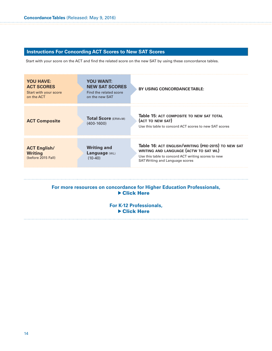# **Instructions For Concording ACT Scores to New SAT Scores**

Start with your score on the ACT and find the related score on the new SAT by using these concordance tables.

| <b>YOU HAVE:</b><br><b>ACT SCORES</b><br>Start with your score<br>on the ACT | <b>YOU WANT:</b><br><b>NEW SAT SCORES</b><br>Find the related score<br>on the new SAT | BY USING CONCORDANCE TABLE:                                                                                                                                                            |
|------------------------------------------------------------------------------|---------------------------------------------------------------------------------------|----------------------------------------------------------------------------------------------------------------------------------------------------------------------------------------|
| <b>ACT Composite</b>                                                         | <b>Total Score (ERW+M)</b><br>$(400-1600)$                                            | Table 15: ACT COMPOSITE TO NEW SAT TOTAL<br>(ACT TO NEW SAT)<br>Use this table to concord ACT scores to new SAT scores                                                                 |
| <b>ACT English/</b><br><b>Writing</b><br>(before 2015 Fall)                  | <b>Writing and</b><br><b>Language (WL)</b><br>$(10-40)$                               | Table 16: ACT ENGLISH/WRITING (PRE-2015) TO NEW SAT<br>WRITING AND LANGUAGE (ACTW TO SAT WL)<br>Use this table to concord ACT writing scores to new<br>SAT Writing and Language scores |

## **[For more resources on concordance for Higher Education Professionals,](https://collegereadiness.collegeboard.org/educators/higher-ed)**  ▶ Click Here

**[For K-12 Professionals,](https://collegereadiness.collegeboard.org/educators/k-12)**  ▶ Click Here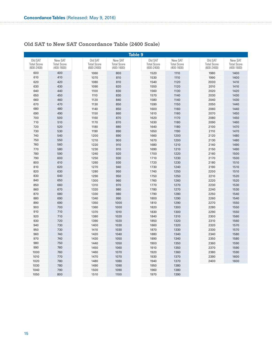## **Old SAT to New SAT Concordance Table (2400 Scale)**

| <b>Table 9</b>                |                               |                               |                               |                               |                               |                               |                               |  |  |  |  |
|-------------------------------|-------------------------------|-------------------------------|-------------------------------|-------------------------------|-------------------------------|-------------------------------|-------------------------------|--|--|--|--|
| Old SAT<br><b>Total Score</b> | New SAT<br><b>Total Score</b> | Old SAT<br><b>Total Score</b> | New SAT<br><b>Total Score</b> | Old SAT<br><b>Total Score</b> | New SAT<br><b>Total Score</b> | Old SAT<br><b>Total Score</b> | New SAT<br><b>Total Score</b> |  |  |  |  |
| $(600 - 2400)$                | $(400 - 1600)$                | $(600 - 2400)$                | $(400-1600)$                  | $(600 - 2400)$                | $(400 - 1600)$                | $(600 - 2400)$                | $(400 - 1600)$                |  |  |  |  |
| 600                           | 400                           | 1060                          | 800                           | 1520                          | 1110                          | 1980                          | 1400                          |  |  |  |  |
| 610                           | 410                           | 1070                          | 810                           | 1530                          | 1110                          | 1990                          | 1400                          |  |  |  |  |
| 620                           | 420                           | 1080                          | 810                           | 1540                          | 1120                          | 2000                          | 1410                          |  |  |  |  |
| 630                           | 430                           | 1090                          | 820                           | 1550                          | 1120                          | 2010                          | 1410                          |  |  |  |  |
| 640                           | 440                           | 1100                          | 830                           | 1560                          | 1130                          | 2020                          | 1420                          |  |  |  |  |
| 650                           | 450                           | 1110                          | 830                           | 1570                          | 1140                          | 2030                          | 1430                          |  |  |  |  |
| 660                           | 460                           | 1120                          | 840                           | 1580                          | 1140                          | 2040                          | 1430                          |  |  |  |  |
| 670                           | 470                           | 1130                          | 850                           | 1590                          | 1150                          | 2050                          | 1440                          |  |  |  |  |
| 680                           | 480                           | 1140                          | 850                           | 1600                          | 1160                          | 2060                          | 1440                          |  |  |  |  |
| 690                           | 490                           | 1150                          | 860                           | 1610                          | 1160                          | 2070                          | 1450                          |  |  |  |  |
| 700                           | 500                           | 1160                          | 870                           | 1620                          | 1170                          | 2080                          | 1450                          |  |  |  |  |
| 710                           | 510                           | 1170                          | 870                           | 1630                          | 1180                          | 2090                          | 1460                          |  |  |  |  |
| 720                           | 520                           | 1180                          | 880                           | 1640                          | 1180                          | 2100                          | 1470                          |  |  |  |  |
| 730                           | 530                           | 1190                          | 890                           | 1650                          | 1190                          | 2110                          | 1470                          |  |  |  |  |
| 740                           | 540                           | 1200                          | 890                           | 1660                          | 1200                          | 2120                          | 1480                          |  |  |  |  |
| 750                           | 550                           | 1210                          | 900                           | 1670                          | 1200                          | 2130                          | 1480                          |  |  |  |  |
| 760                           | 560                           | 1220                          | 910                           | 1680                          | 1210                          | 2140                          | 1490                          |  |  |  |  |
| 770                           | 580                           | 1230                          | 910                           | 1690                          | 1210                          | 2150                          | 1490                          |  |  |  |  |
| 780                           | 590                           | 1240                          | 920                           | 1700                          | 1220                          | 2160                          | 1500                          |  |  |  |  |
| 790                           | 600                           | 1250                          | 930                           | 1710                          | 1230                          | 2170                          | 1500                          |  |  |  |  |
| 800                           | 610                           | 1260                          | 930                           | 1720                          | 1230                          | 2180                          | 1510                          |  |  |  |  |
| 810                           | 620                           | 1270                          | 940                           | 1730                          | 1240                          | 2190                          | 1510                          |  |  |  |  |
| 820                           | 630                           | 1280                          | 950                           | 1740                          | 1250                          | 2200                          | 1510                          |  |  |  |  |
| 830                           | 640                           | 1290                          | 950                           | 1750                          | 1250                          | 2210                          | 1520                          |  |  |  |  |
| 840                           | 650                           | 1300                          | 960                           | 1760                          | 1260                          | 2220                          | 1520                          |  |  |  |  |
| 850                           | 660                           | 1310                          | 970                           | 1770                          | 1270                          | 2230                          | 1530                          |  |  |  |  |
| 860                           | 670                           | 1320                          | 980                           | 1780                          | 1270                          | 2240                          | 1530                          |  |  |  |  |
| 870                           | 680                           | 1330                          | 980                           | 1790                          | 1280                          | 2250                          | 1540                          |  |  |  |  |
| 880                           | 690                           | 1340                          | 990                           | 1800                          | 1290                          | 2260                          | 1540                          |  |  |  |  |
| 890                           | 690                           | 1350                          | 1000                          | 1810                          | 1290                          | 2270                          | 1550                          |  |  |  |  |
| 900                           | 700                           | 1360                          | 1000                          | 1820                          | 1300                          | 2280                          | 1550                          |  |  |  |  |
| 910                           | 710                           | 1370                          | 1010                          | 1830                          | 1300                          | 2290                          | 1550                          |  |  |  |  |
| 920                           | 710                           | 1380                          | 1020                          | 1840                          | 1310                          | 2300                          | 1560                          |  |  |  |  |
| 930                           | 720                           | 1390                          | 1020                          | 1850                          | 1320                          | 2310                          | 1560                          |  |  |  |  |
| 940                           | 730                           | 1400                          | 1030                          | 1860                          | 1320                          | 2320                          | 1570                          |  |  |  |  |
| 950                           | 730                           | 1410                          | 1030                          | 1870                          | 1330                          | 2330                          | 1570                          |  |  |  |  |
| 960                           | 740                           | 1420                          | 1040                          | 1880                          | 1340                          | 2340                          | 1580                          |  |  |  |  |
| 970                           | 740                           | 1430                          | 1050                          | 1890                          | 1340                          | 2350                          | 1580                          |  |  |  |  |
| 980                           | 750                           | 1440                          | 1050                          | 1900                          | 1350                          | 2360                          | 1590                          |  |  |  |  |
| 990                           | 760                           | 1450                          | 1060                          | 1910                          | 1350                          | 2370                          | 1590                          |  |  |  |  |
| 1000                          | 760                           | 1460                          | 1070                          | 1920                          | 1360                          | 2380                          | 1590                          |  |  |  |  |
| 1010                          | 770                           | 1470                          | 1070                          | 1930                          | 1370                          | 2390                          | 1600                          |  |  |  |  |
| 1020                          | 780                           | 1480                          | 1080                          | 1940                          | 1370                          | 2400                          | 1600                          |  |  |  |  |
| 1030                          | 780                           | 1490                          | 1090                          | 1950                          | 1380                          |                               |                               |  |  |  |  |
| 1040                          | 790                           | 1500                          | 1090                          | 1960                          | 1380                          |                               |                               |  |  |  |  |
| 1050                          | 800                           | 1510                          | 1100                          | 1970                          | 1390                          |                               |                               |  |  |  |  |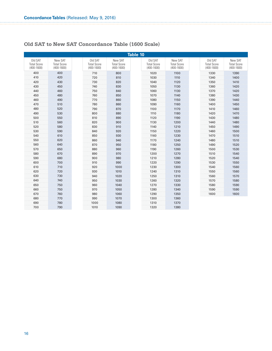|                                                 | <b>Table 10</b>                                 |                                                 |                                                 |                                               |                                                 |                                               |                                                 |  |  |  |
|-------------------------------------------------|-------------------------------------------------|-------------------------------------------------|-------------------------------------------------|-----------------------------------------------|-------------------------------------------------|-----------------------------------------------|-------------------------------------------------|--|--|--|
| Old SAT<br><b>Total Score</b><br>$(400 - 1600)$ | New SAT<br><b>Total Score</b><br>$(400 - 1600)$ | Old SAT<br><b>Total Score</b><br>$(400 - 1600)$ | New SAT<br><b>Total Score</b><br>$(400 - 1600)$ | Old SAT<br><b>Total Score</b><br>$(400-1600)$ | New SAT<br><b>Total Score</b><br>$(400 - 1600)$ | Old SAT<br><b>Total Score</b><br>$(400-1600)$ | New SAT<br><b>Total Score</b><br>$(400 - 1600)$ |  |  |  |
| 400                                             | 400                                             | 710                                             | 800                                             | 1020                                          | 1100                                            | 1330                                          | 1390                                            |  |  |  |
| 410                                             | 420                                             | 720                                             | 810                                             | 1030                                          | 1110                                            | 1340                                          | 1400                                            |  |  |  |
| 420                                             | 430                                             | 730                                             | 820                                             | 1040                                          | 1120                                            | 1350                                          | 1410                                            |  |  |  |
| 430                                             | 450                                             | 740                                             | 830                                             | 1050                                          | 1130                                            | 1360                                          | 1420                                            |  |  |  |
| 440                                             | 460                                             | 750                                             | 840                                             | 1060                                          | 1130                                            | 1370                                          | 1420                                            |  |  |  |
| 450                                             | 480                                             | 760                                             | 850                                             | 1070                                          | 1140                                            | 1380                                          | 1430                                            |  |  |  |
| 460                                             | 490                                             | 770                                             | 860                                             | 1080                                          | 1150                                            | 1390                                          | 1440                                            |  |  |  |
| 470                                             | 510                                             | 780                                             | 860                                             | 1090                                          | 1160                                            | 1400                                          | 1450                                            |  |  |  |
| 480                                             | 520                                             | 790                                             | 870                                             | 1100                                          | 1170                                            | 1410                                          | 1460                                            |  |  |  |
| 490                                             | 530                                             | 800                                             | 880                                             | 1110                                          | 1180                                            | 1420                                          | 1470                                            |  |  |  |
| 500                                             | 550                                             | 810                                             | 890                                             | 1120                                          | 1190                                            | 1430                                          | 1480                                            |  |  |  |
| 510                                             | 560                                             | 820                                             | 900                                             | 1130                                          | 1200                                            | 1440                                          | 1480                                            |  |  |  |
| 520                                             | 580                                             | 830                                             | 910                                             | 1140                                          | 1210                                            | 1450                                          | 1490                                            |  |  |  |
| 530                                             | 590                                             | 840                                             | 920                                             | 1150                                          | 1220                                            | 1460                                          | 1500                                            |  |  |  |
| 540                                             | 610                                             | 850                                             | 930                                             | 1160                                          | 1230                                            | 1470                                          | 1510                                            |  |  |  |
| 550                                             | 620                                             | 860                                             | 940                                             | 1170                                          | 1240                                            | 1480                                          | 1510                                            |  |  |  |
| 560                                             | 640                                             | 870                                             | 950                                             | 1180                                          | 1250                                            | 1490                                          | 1520                                            |  |  |  |
| 570                                             | 650                                             | 880                                             | 960                                             | 1190                                          | 1260                                            | 1500                                          | 1530                                            |  |  |  |
| 580                                             | 670                                             | 890                                             | 970                                             | 1200                                          | 1270                                            | 1510                                          | 1540                                            |  |  |  |
| 590                                             | 680                                             | 900                                             | 980                                             | 1210                                          | 1280                                            | 1520                                          | 1540                                            |  |  |  |
| 600                                             | 700                                             | 910                                             | 990                                             | 1220                                          | 1290                                            | 1530                                          | 1550                                            |  |  |  |
| 610                                             | 710                                             | 920                                             | 1000                                            | 1230                                          | 1300                                            | 1540                                          | 1560                                            |  |  |  |
| 620                                             | 720                                             | 930                                             | 1010                                            | 1240                                          | 1310                                            | 1550                                          | 1560                                            |  |  |  |
| 630                                             | 730                                             | 940                                             | 1020                                            | 1250                                          | 1310                                            | 1560                                          | 1570                                            |  |  |  |
| 640                                             | 740                                             | 950                                             | 1030                                            | 1260                                          | 1320                                            | 1570                                          | 1580                                            |  |  |  |
| 650                                             | 750                                             | 960                                             | 1040                                            | 1270                                          | 1330                                            | 1580                                          | 1590                                            |  |  |  |
| 660                                             | 750                                             | 970                                             | 1050                                            | 1280                                          | 1340                                            | 1590                                          | 1590                                            |  |  |  |
| 670                                             | 760                                             | 980                                             | 1060                                            | 1290                                          | 1350                                            | 1600                                          | 1600                                            |  |  |  |
| 680                                             | 770                                             | 990                                             | 1070                                            | 1300                                          | 1360                                            |                                               |                                                 |  |  |  |
| 690                                             | 780                                             | 1000                                            | 1080                                            | 1310                                          | 1370                                            |                                               |                                                 |  |  |  |
| 700                                             | 790                                             | 1010                                            | 1090                                            | 1320                                          | 1380                                            |                                               |                                                 |  |  |  |

# **Old SAT to New SAT Concordance Table (1600 Scale)**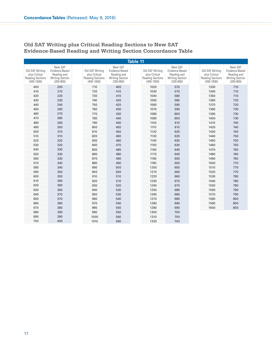|                                                                               | Table 11                                                                            |                                                                               |                                                                                     |                                                                               |                                                                                     |                                                                               |                                                                                     |  |  |  |  |
|-------------------------------------------------------------------------------|-------------------------------------------------------------------------------------|-------------------------------------------------------------------------------|-------------------------------------------------------------------------------------|-------------------------------------------------------------------------------|-------------------------------------------------------------------------------------|-------------------------------------------------------------------------------|-------------------------------------------------------------------------------------|--|--|--|--|
| Old SAT Writing<br>plus Critical<br><b>Reading Sections</b><br>$(400 - 1600)$ | New SAT<br>Evidence-Based<br>Reading and<br><b>Writing Section</b><br>$(200 - 800)$ | Old SAT Writing<br>plus Critical<br><b>Reading Sections</b><br>$(400 - 1600)$ | New SAT<br>Evidence-Based<br>Reading and<br><b>Writing Section</b><br>$(200 - 800)$ | Old SAT Writing<br>plus Critical<br><b>Reading Sections</b><br>$(400 - 1600)$ | New SAT<br>Evidence-Based<br>Reading and<br><b>Writing Section</b><br>$(200 - 800)$ | Old SAT Writing<br>plus Critical<br><b>Reading Sections</b><br>$(400 - 1600)$ | New SAT<br>Evidence-Based<br>Reading and<br><b>Writing Section</b><br>$(200 - 800)$ |  |  |  |  |
| 400                                                                           | 200                                                                                 | 710                                                                           | 400                                                                                 | 1020                                                                          | 570                                                                                 | 1330                                                                          | 710                                                                                 |  |  |  |  |
| 410                                                                           | 210                                                                                 | 720                                                                           | 410                                                                                 | 1030                                                                          | 570                                                                                 | 1340                                                                          | 710                                                                                 |  |  |  |  |
| 420                                                                           | 220                                                                                 | 730                                                                           | 410                                                                                 | 1040                                                                          | 580                                                                                 | 1350                                                                          | 710                                                                                 |  |  |  |  |
| 430                                                                           | 230                                                                                 | 740                                                                           | 420                                                                                 | 1050                                                                          | 580                                                                                 | 1360                                                                          | 720                                                                                 |  |  |  |  |
| 440                                                                           | 240                                                                                 | 750                                                                           | 420                                                                                 | 1060                                                                          | 590                                                                                 | 1370                                                                          | 720                                                                                 |  |  |  |  |
| 450                                                                           | 260                                                                                 | 760                                                                           | 430                                                                                 | 1070                                                                          | 590                                                                                 | 1380                                                                          | 730                                                                                 |  |  |  |  |
| 460                                                                           | 270                                                                                 | 770                                                                           | 430                                                                                 | 1080                                                                          | 600                                                                                 | 1390                                                                          | 730                                                                                 |  |  |  |  |
| 470                                                                           | 280                                                                                 | 780                                                                           | 440                                                                                 | 1090                                                                          | 600                                                                                 | 1400                                                                          | 730                                                                                 |  |  |  |  |
| 480                                                                           | 290                                                                                 | 790                                                                           | 440                                                                                 | 1100                                                                          | 610                                                                                 | 1410                                                                          | 740                                                                                 |  |  |  |  |
| 490                                                                           | 300                                                                                 | 800                                                                           | 450                                                                                 | 1110                                                                          | 610                                                                                 | 1420                                                                          | 740                                                                                 |  |  |  |  |
| 500                                                                           | 310                                                                                 | 810                                                                           | 450                                                                                 | 1120                                                                          | 620                                                                                 | 1430                                                                          | 740                                                                                 |  |  |  |  |
| 510                                                                           | 310                                                                                 | 820                                                                           | 460                                                                                 | 1130                                                                          | 620                                                                                 | 1440                                                                          | 750                                                                                 |  |  |  |  |
| 520                                                                           | 320                                                                                 | 830                                                                           | 460                                                                                 | 1140                                                                          | 630                                                                                 | 1450                                                                          | 750                                                                                 |  |  |  |  |
| 530                                                                           | 320                                                                                 | 840                                                                           | 470                                                                                 | 1150                                                                          | 630                                                                                 | 1460                                                                          | 750                                                                                 |  |  |  |  |
| 540                                                                           | 330                                                                                 | 850                                                                           | 480                                                                                 | 1160                                                                          | 640                                                                                 | 1470                                                                          | 760                                                                                 |  |  |  |  |
| 550                                                                           | 330                                                                                 | 860                                                                           | 480                                                                                 | 1170                                                                          | 640                                                                                 | 1480                                                                          | 760                                                                                 |  |  |  |  |
| 560                                                                           | 330                                                                                 | 870                                                                           | 490                                                                                 | 1180                                                                          | 650                                                                                 | 1490                                                                          | 760                                                                                 |  |  |  |  |
| 570                                                                           | 340                                                                                 | 880                                                                           | 490                                                                                 | 1190                                                                          | 650                                                                                 | 1500                                                                          | 770                                                                                 |  |  |  |  |
| 580                                                                           | 340                                                                                 | 890                                                                           | 500                                                                                 | 1200                                                                          | 650                                                                                 | 1510                                                                          | 770                                                                                 |  |  |  |  |
| 590                                                                           | 350                                                                                 | 900                                                                           | 500                                                                                 | 1210                                                                          | 660                                                                                 | 1520                                                                          | 770                                                                                 |  |  |  |  |
| 600                                                                           | 350                                                                                 | 910                                                                           | 510                                                                                 | 1220                                                                          | 660                                                                                 | 1530                                                                          | 780                                                                                 |  |  |  |  |
| 610                                                                           | 360                                                                                 | 920                                                                           | 510                                                                                 | 1230                                                                          | 670                                                                                 | 1540                                                                          | 780                                                                                 |  |  |  |  |
| 620                                                                           | 360                                                                                 | 930                                                                           | 520                                                                                 | 1240                                                                          | 670                                                                                 | 1550                                                                          | 780                                                                                 |  |  |  |  |
| 630                                                                           | 360                                                                                 | 940                                                                           | 530                                                                                 | 1250                                                                          | 680                                                                                 | 1560                                                                          | 790                                                                                 |  |  |  |  |
| 640                                                                           | 370                                                                                 | 950                                                                           | 530                                                                                 | 1260                                                                          | 680                                                                                 | 1570                                                                          | 790                                                                                 |  |  |  |  |
| 650                                                                           | 370                                                                                 | 960                                                                           | 540                                                                                 | 1270                                                                          | 680                                                                                 | 1580                                                                          | 800                                                                                 |  |  |  |  |
| 660                                                                           | 380                                                                                 | 970                                                                           | 540                                                                                 | 1280                                                                          | 690                                                                                 | 1590                                                                          | 800                                                                                 |  |  |  |  |
| 670                                                                           | 380                                                                                 | 980                                                                           | 550                                                                                 | 1290                                                                          | 690                                                                                 | 1600                                                                          | 800                                                                                 |  |  |  |  |
| 680                                                                           | 390                                                                                 | 990                                                                           | 550                                                                                 | 1300                                                                          | 700                                                                                 |                                                                               |                                                                                     |  |  |  |  |
| 690                                                                           | 390                                                                                 | 1000                                                                          | 560                                                                                 | 1310                                                                          | 700                                                                                 |                                                                               |                                                                                     |  |  |  |  |
| 700                                                                           | 400                                                                                 | 1010                                                                          | 560                                                                                 | 1320                                                                          | 700                                                                                 |                                                                               |                                                                                     |  |  |  |  |

## **Old SAT Writing plus Critical Reading Sections to New SAT Evidence-Based Reading and Writing Section Concordance Table**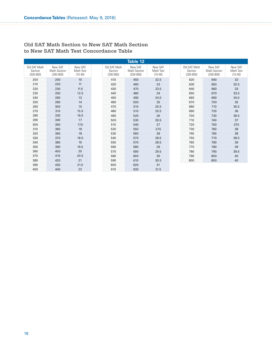|                                          |                                                 |                                   |                                          | Table 12                                        |                                   |                                          |                                          |                                   |
|------------------------------------------|-------------------------------------------------|-----------------------------------|------------------------------------------|-------------------------------------------------|-----------------------------------|------------------------------------------|------------------------------------------|-----------------------------------|
| Old SAT Math<br>Section<br>$(200 - 800)$ | New SAT<br><b>Math Section</b><br>$(200 - 800)$ | New SAT<br>Math Test<br>$(10-40)$ | Old SAT Math<br>Section<br>$(200 - 800)$ | New SAT<br><b>Math Section</b><br>$(200 - 800)$ | New SAT<br>Math Test<br>$(10-40)$ | Old SAT Math<br>Section<br>$(200 - 800)$ | New SAT<br>Math Section<br>$(200 - 800)$ | New SAT<br>Math Test<br>$(10-40)$ |
| 200                                      | 200                                             | 10                                | 410                                      | 450                                             | 22.5                              | 620                                      | 640                                      | 32                                |
| 210                                      | 220                                             |                                   | 420                                      | 460                                             | 23                                | 630                                      | 650                                      | 32.5                              |
| 220                                      | 230                                             | 11.5                              | 430                                      | 470                                             | 23.5                              | 640                                      | 660                                      | 33                                |
| 230                                      | 250                                             | 12.5                              | 440                                      | 480                                             | 24                                | 650                                      | 670                                      | 33.5                              |
| 240                                      | 260                                             | 13                                | 450                                      | 490                                             | 24.5                              | 660                                      | 690                                      | 34.5                              |
| 250                                      | 280                                             | 14                                | 460                                      | 500                                             | 25                                | 670                                      | 700                                      | 35                                |
| 260                                      | 300                                             | 15                                | 470                                      | 510                                             | 25.5                              | 680                                      | 710                                      | 35.5                              |
| 270                                      | 310                                             | 15.5                              | 480                                      | 510                                             | 25.5                              | 690                                      | 720                                      | 36                                |
| 280                                      | 330                                             | 16.5                              | 490                                      | 520                                             | 26                                | 700                                      | 730                                      | 36.5                              |
| 290                                      | 340                                             |                                   | 500                                      | 530                                             | 26.5                              | 710                                      | 740                                      | 37                                |
| 300                                      | 350                                             | 17.5                              | 510                                      | 540                                             | 27                                | 720                                      | 750                                      | 37.5                              |
| 310                                      | 360                                             | 18                                | 520                                      | 550                                             | 27.5                              | 730                                      | 760                                      | 38                                |
| 320                                      | 360                                             | 18                                | 530                                      | 560                                             | 28                                | 740                                      | 760                                      | 38                                |
| 330                                      | 370                                             | 18.5                              | 540                                      | 570                                             | 28.5                              | 750                                      | 770                                      | 38.5                              |
| 340                                      | 380                                             | 19                                | 550                                      | 570                                             | 28.5                              | 760                                      | 780                                      | 39                                |
| 350                                      | 390                                             | 19.5                              | 560                                      | 580                                             | 29                                | 770                                      | 780                                      | 39                                |
| 360                                      | 400                                             | 20                                | 570                                      | 590                                             | 29.5                              | 780                                      | 790                                      | 39.5                              |
| 370                                      | 410                                             | 20.5                              | 580                                      | 600                                             | 30                                | 790                                      | 800                                      | 40                                |
| 380                                      | 420                                             | 21                                | 590                                      | 610                                             | 30.5                              | 800                                      | 800                                      | 40                                |
| 390                                      | 430                                             | 21.5                              | 600                                      | 620                                             | 31                                |                                          |                                          |                                   |
| 400                                      | 440                                             | 22                                | 610                                      | 630                                             | 31.5                              |                                          |                                          |                                   |

## **Old SAT Math Section to New SAT Math Section to New SAT Math Test Concordance Table**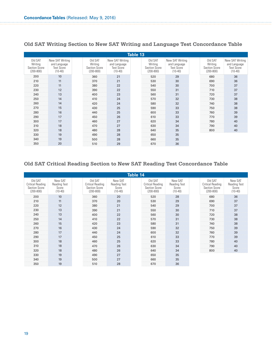| <b>Table 13</b>                                      |                                                                   |                                                      |                                                                   |                                                      |                                                                   |                                                      |                                                                   |  |  |  |
|------------------------------------------------------|-------------------------------------------------------------------|------------------------------------------------------|-------------------------------------------------------------------|------------------------------------------------------|-------------------------------------------------------------------|------------------------------------------------------|-------------------------------------------------------------------|--|--|--|
| Old SAT<br>Writing<br>Section Score<br>$(200 - 800)$ | New SAT Writing<br>and Language<br><b>Test Score</b><br>$(10-40)$ | Old SAT<br>Writing<br>Section Score<br>$(200 - 800)$ | New SAT Writing<br>and Language<br><b>Test Score</b><br>$(10-40)$ | Old SAT<br>Writing<br>Section Score<br>$(200 - 800)$ | New SAT Writing<br>and Language<br><b>Test Score</b><br>$(10-40)$ | Old SAT<br>Writing<br>Section Score<br>$(200 - 800)$ | New SAT Writing<br>and Language<br><b>Test Score</b><br>$(10-40)$ |  |  |  |
| 200                                                  | 10                                                                | 360                                                  | 21                                                                | 520                                                  | 29                                                                | 680                                                  | 36                                                                |  |  |  |
| 210                                                  |                                                                   | 370                                                  | 21                                                                | 530                                                  | 30                                                                | 690                                                  | 36                                                                |  |  |  |
| 220                                                  |                                                                   | 380                                                  |                                                                   | 540                                                  |                                                                   | 700                                                  |                                                                   |  |  |  |
| 230                                                  |                                                                   | 390                                                  | 22                                                                | 550                                                  |                                                                   | 710                                                  |                                                                   |  |  |  |
| 240                                                  |                                                                   | 400                                                  | 23                                                                | 560                                                  | 31                                                                | 720                                                  | 37                                                                |  |  |  |
| 250                                                  | 14                                                                | 410                                                  | 24                                                                | 570                                                  | 32                                                                | 730                                                  | 38                                                                |  |  |  |
| 260                                                  |                                                                   |                                                      | 24                                                                | 580                                                  |                                                                   | 740                                                  | 38                                                                |  |  |  |
| 270                                                  |                                                                   | 430                                                  | 25                                                                | 590                                                  | 33                                                                | 750                                                  | 38                                                                |  |  |  |
| 280                                                  | 16                                                                | 440                                                  | 25                                                                | 600                                                  | 33                                                                | 760                                                  | 39                                                                |  |  |  |
| 290                                                  | 17                                                                | 450                                                  | 26                                                                | 610                                                  | 33                                                                | 770                                                  | 39                                                                |  |  |  |
| 300                                                  |                                                                   | 460                                                  |                                                                   | 620                                                  | 34                                                                | 780                                                  |                                                                   |  |  |  |
| 310                                                  |                                                                   | 470                                                  |                                                                   | 630                                                  | 34                                                                | 790                                                  |                                                                   |  |  |  |
| 320                                                  |                                                                   | 480                                                  | 28                                                                | 640                                                  | 35                                                                | 800                                                  | 40                                                                |  |  |  |
| 330                                                  | 19                                                                | 490                                                  | 28                                                                | 650                                                  | 35                                                                |                                                      |                                                                   |  |  |  |
| 340                                                  | 19                                                                | 500                                                  | 28                                                                | 660                                                  | 35                                                                |                                                      |                                                                   |  |  |  |
| 350                                                  | 20                                                                | 510                                                  | 29                                                                | 670                                                  | 36                                                                |                                                      |                                                                   |  |  |  |

## **Old SAT Writing Section to New SAT Writing and Language Test Concordance Table**

## **Old SAT Critical Reading Section to New SAT Reading Test Concordance Table**

| <b>Table 14</b>                                                             |                                                      |                                                                             |                                               |  |                                                                      |                                                      |                                                                             |                                                      |  |
|-----------------------------------------------------------------------------|------------------------------------------------------|-----------------------------------------------------------------------------|-----------------------------------------------|--|----------------------------------------------------------------------|------------------------------------------------------|-----------------------------------------------------------------------------|------------------------------------------------------|--|
| Old SAT<br><b>Critical Reading</b><br><b>Section Score</b><br>$(200 - 800)$ | New SAT<br><b>Reading Test</b><br>Score<br>$(10-40)$ | Old SAT<br><b>Critical Reading</b><br><b>Section Score</b><br>$(200 - 800)$ | New SAT<br>Reading Test<br>Score<br>$(10-40)$ |  | Old SAT<br><b>Critical Reading</b><br>Section Score<br>$(200 - 800)$ | New SAT<br><b>Reading Test</b><br>Score<br>$(10-40)$ | Old SAT<br><b>Critical Reading</b><br><b>Section Score</b><br>$(200 - 800)$ | New SAT<br><b>Reading Test</b><br>Score<br>$(10-40)$ |  |
| 200                                                                         | 10                                                   | 360                                                                         | 20                                            |  | 520                                                                  | 28                                                   | 680                                                                         | 36                                                   |  |
| 210                                                                         |                                                      | 370                                                                         | 20                                            |  | 530                                                                  | 29                                                   | 690                                                                         | 37                                                   |  |
| 220                                                                         |                                                      | 380                                                                         | 21                                            |  | 540                                                                  | 29                                                   | 700                                                                         | 37                                                   |  |
| 230                                                                         |                                                      | 390                                                                         |                                               |  | 550                                                                  | 30                                                   | 710                                                                         |                                                      |  |
| 240                                                                         |                                                      | 400                                                                         | 22                                            |  | 560                                                                  | 30                                                   | 720                                                                         | 38                                                   |  |
| 250                                                                         |                                                      | 410                                                                         | 22                                            |  | 570                                                                  | 31                                                   | 730                                                                         | 38                                                   |  |
| 260                                                                         | 15                                                   | 420                                                                         | 23                                            |  | 580                                                                  | 31                                                   | 740                                                                         | 38                                                   |  |
| 270                                                                         | 16                                                   | 430                                                                         | 24                                            |  | 590                                                                  |                                                      | 750                                                                         | 39                                                   |  |
| 280                                                                         |                                                      | 440                                                                         | 24                                            |  | 600                                                                  | 32                                                   | 760                                                                         | 39                                                   |  |
| 290                                                                         |                                                      | 450                                                                         | 25                                            |  | 610                                                                  | 33                                                   | 770                                                                         | 39                                                   |  |
| 300                                                                         | 18                                                   | 460                                                                         | 25                                            |  | 620                                                                  | 33                                                   | 780                                                                         | 40                                                   |  |
| 310                                                                         | 18                                                   | 470                                                                         | 26                                            |  | 630                                                                  | 34                                                   | 790                                                                         |                                                      |  |
| 320                                                                         |                                                      | 480                                                                         | 26                                            |  | 640                                                                  |                                                      | 800                                                                         | 40                                                   |  |
| 330                                                                         |                                                      | 490                                                                         | 27                                            |  | 650                                                                  | 35                                                   |                                                                             |                                                      |  |
| 340                                                                         | 19                                                   | 500                                                                         | 27                                            |  | 660                                                                  | 35                                                   |                                                                             |                                                      |  |
| 350                                                                         | 19                                                   | 510                                                                         | 28                                            |  | 670                                                                  | 36                                                   |                                                                             |                                                      |  |